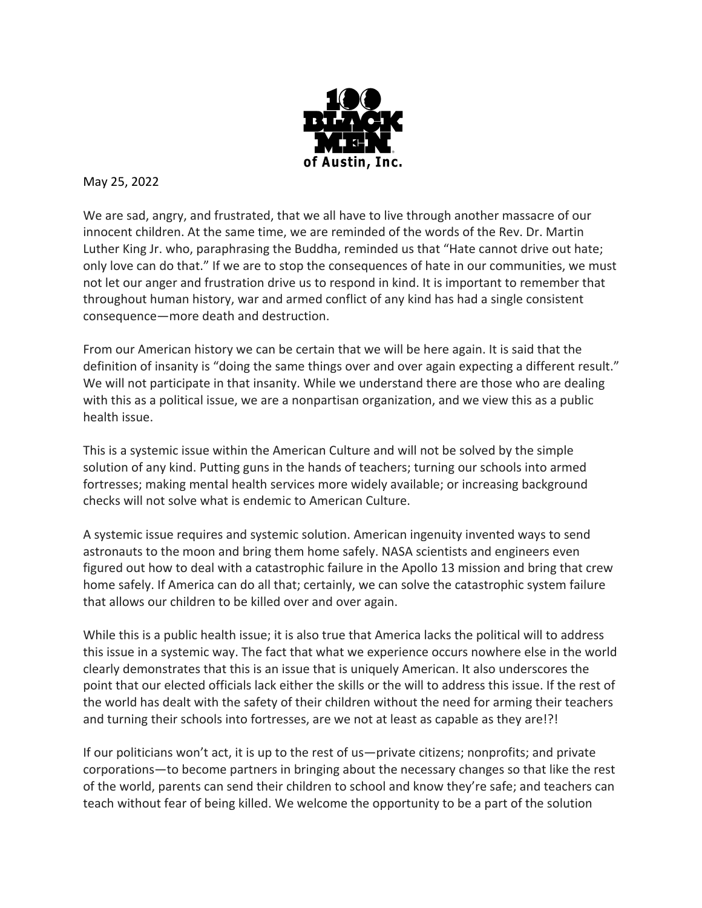

## May 25, 2022

We are sad, angry, and frustrated, that we all have to live through another massacre of our innocent children. At the same time, we are reminded of the words of the Rev. Dr. Martin Luther King Jr. who, paraphrasing the Buddha, reminded us that "Hate cannot drive out hate; only love can do that." If we are to stop the consequences of hate in our communities, we must not let our anger and frustration drive us to respond in kind. It is important to remember that throughout human history, war and armed conflict of any kind has had a single consistent consequence—more death and destruction.

From our American history we can be certain that we will be here again. It is said that the definition of insanity is "doing the same things over and over again expecting a different result." We will not participate in that insanity. While we understand there are those who are dealing with this as a political issue, we are a nonpartisan organization, and we view this as a public health issue.

This is a systemic issue within the American Culture and will not be solved by the simple solution of any kind. Putting guns in the hands of teachers; turning our schools into armed fortresses; making mental health services more widely available; or increasing background checks will not solve what is endemic to American Culture.

A systemic issue requires and systemic solution. American ingenuity invented ways to send astronauts to the moon and bring them home safely. NASA scientists and engineers even figured out how to deal with a catastrophic failure in the Apollo 13 mission and bring that crew home safely. If America can do all that; certainly, we can solve the catastrophic system failure that allows our children to be killed over and over again.

While this is a public health issue; it is also true that America lacks the political will to address this issue in a systemic way. The fact that what we experience occurs nowhere else in the world clearly demonstrates that this is an issue that is uniquely American. It also underscores the point that our elected officials lack either the skills or the will to address this issue. If the rest of the world has dealt with the safety of their children without the need for arming their teachers and turning their schools into fortresses, are we not at least as capable as they are!?!

If our politicians won't act, it is up to the rest of us—private citizens; nonprofits; and private corporations—to become partners in bringing about the necessary changes so that like the rest of the world, parents can send their children to school and know they're safe; and teachers can teach without fear of being killed. We welcome the opportunity to be a part of the solution